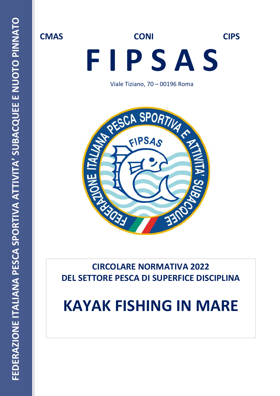# **CMAS CONI CIPS F I P S A S**

Viale Tiziano, 70 – 00196 Roma



**CIRCOLARE NORMATIVA 2022 DEL SETTORE PESCA DI SUPERFICE DISCIPLINA**

# **KAYAK FISHING IN MARE**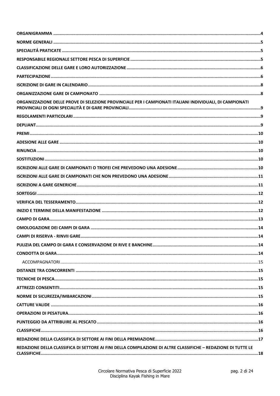| ORGANIZZAZIONE DELLE PROVE DI SELEZIONE PROVINCIALE PER I CAMPIONATI ITALIANI INDIVIDUALI, DI CAMPIONATI      |  |
|---------------------------------------------------------------------------------------------------------------|--|
|                                                                                                               |  |
|                                                                                                               |  |
|                                                                                                               |  |
|                                                                                                               |  |
|                                                                                                               |  |
|                                                                                                               |  |
|                                                                                                               |  |
|                                                                                                               |  |
|                                                                                                               |  |
|                                                                                                               |  |
|                                                                                                               |  |
|                                                                                                               |  |
|                                                                                                               |  |
|                                                                                                               |  |
|                                                                                                               |  |
|                                                                                                               |  |
|                                                                                                               |  |
|                                                                                                               |  |
|                                                                                                               |  |
|                                                                                                               |  |
|                                                                                                               |  |
|                                                                                                               |  |
|                                                                                                               |  |
|                                                                                                               |  |
|                                                                                                               |  |
|                                                                                                               |  |
|                                                                                                               |  |
| REDAZIONE DELLA CLASSIFICA DI SETTORE AI FINI DELLA COMPILAZIONE DI ALTRE CLASSIFICHE - REDAZIONE DI TUTTE LE |  |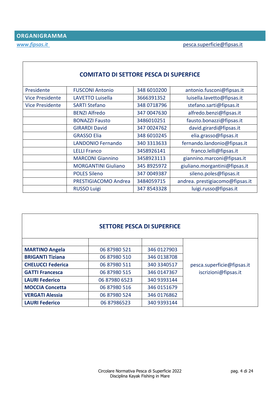<span id="page-3-0"></span>

| <b>COMITATO DI SETTORE PESCA DI SUPERFICE</b> |                            |             |                                 |  |  |  |  |
|-----------------------------------------------|----------------------------|-------------|---------------------------------|--|--|--|--|
| Presidente                                    | <b>FUSCONI Antonio</b>     | 348 6010200 | antonio.fusconi@fipsas.it       |  |  |  |  |
| <b>Vice Presidente</b>                        | LAVETTO Luisella           | 3666391352  | luisella.lavetto@fipsas.it      |  |  |  |  |
| <b>Vice Presidente</b>                        | <b>SARTI Stefano</b>       | 348 0718796 | stefano.sarti@fipsas.it         |  |  |  |  |
|                                               | <b>BENZI Alfredo</b>       | 347 0047630 | alfredo.benzi@fipsas.it         |  |  |  |  |
|                                               | <b>BONAZZI Fausto</b>      | 3486010251  | fausto.bonazzi@fipsas.it        |  |  |  |  |
|                                               | <b>GIRARDI David</b>       | 347 0024762 | david.girardi@fipsas.it         |  |  |  |  |
|                                               | <b>GRASSO Elia</b>         | 348 6010245 | elia.grasso@fipsas.it           |  |  |  |  |
|                                               | <b>LANDONIO Fernando</b>   | 340 3313633 | fernando.landonio@fipsas.it     |  |  |  |  |
|                                               | <b>LELLI Franco</b>        | 3458926141  | franco.lelli@fipsas.it          |  |  |  |  |
|                                               | <b>MARCONI Giannino</b>    | 3458923113  | giannino.marconi@fipsas.it      |  |  |  |  |
|                                               | <b>MORGANTINI Giuliano</b> | 345 8925972 | giuliano.morgantini@fipsas.it   |  |  |  |  |
|                                               | <b>POLES Sileno</b>        | 347 0049387 | sileno.poles@fipsas.it          |  |  |  |  |
|                                               | PRESTIGIACOMO Andrea       | 3484059715  | andrea. prestigiacomo@fipsas.it |  |  |  |  |
|                                               | <b>RUSSO Luigi</b>         | 347 8543328 | luigi.russo@fipsas.it           |  |  |  |  |

| <b>SETTORE PESCA DI SUPERFICE</b> |  |
|-----------------------------------|--|
|-----------------------------------|--|

| <b>MARTINO Angela</b>    | 06 87980 521  | 346 0127903  |                            |
|--------------------------|---------------|--------------|----------------------------|
| <b>BRIGANTI Tiziana</b>  | 06 87980 510  | 346 0138708  |                            |
| <b>CHELUCCI Federica</b> | 06 87980 511  | 340 3340 517 | pesca.superficie@fipsas.it |
| <b>GATTI Francesca</b>   | 06 87980 515  | 346 0147367  | iscrizioni@fipsas.it       |
| <b>LAURI Federico</b>    | 06 87980 6523 | 340 9393144  |                            |
| <b>MOCCIA Concetta</b>   | 06 87980 516  | 346 0151679  |                            |
| <b>VERGATI Alessia</b>   | 06 87980 524  | 346 0176862  |                            |
| <b>LAURI Federico</b>    | 06 87986523   | 340 9393144  |                            |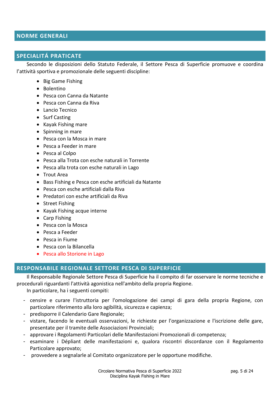#### <span id="page-4-0"></span>**NORME GENERALI**

#### <span id="page-4-1"></span>**SPECIALITÁ PRATICATE**

Secondo le disposizioni dello Statuto Federale, il Settore Pesca di Superficie promuove e coordina l'attività sportiva e promozionale delle seguenti discipline:

- Big Game Fishing
- Bolentino
- Pesca con Canna da Natante
- Pesca con Canna da Riva
- Lancio Tecnico
- Surf Casting
- Kayak Fishing mare
- Spinning in mare
- Pesca con la Mosca in mare
- Pesca a Feeder in mare
- Pesca al Colpo
- Pesca alla Trota con esche naturali in Torrente
- Pesca alla trota con esche naturali in Lago
- Trout Area
- Bass Fishing e Pesca con esche artificiali da Natante
- Pesca con esche artificiali dalla Riva
- Predatori con esche artificiali da Riva
- Street Fishing
- Kayak Fishing acque interne
- Carp Fishing
- Pesca con la Mosca
- Pesca a Feeder
- Pesca in Fiume
- Pesca con la Bilancella
- Pesca allo Storione in Lago

#### <span id="page-4-2"></span>**RESPONSABILE REGIONALE SETTORE PESCA DI SUPERFICIE**

Il Responsabile Regionale Settore Pesca di Superficie ha il compito di far osservare le norme tecniche e procedurali riguardanti l'attività agonistica nell'ambito della propria Regione.

In particolare, ha i seguenti compiti:

- censire e curare l'istruttoria per l'omologazione dei campi di gara della propria Regione, con particolare riferimento alla loro agibilità, sicurezza e capienza;
- predisporre il Calendario Gare Regionale;
- vistare, facendo le eventuali osservazioni, le richieste per l'organizzazione e l'iscrizione delle gare, presentate per il tramite delle Associazioni Provinciali;
- approvare i Regolamenti Particolari delle Manifestazioni Promozionali di competenza;
- esaminare i Dépliant delle manifestazioni e, qualora riscontri discordanze con il Regolamento Particolare approvato;
- provvedere a segnalarle al Comitato organizzatore per le opportune modifiche.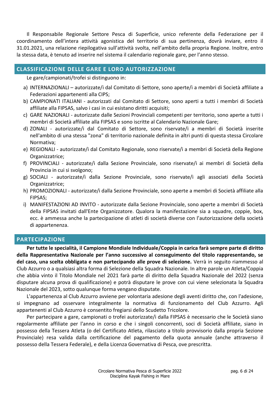Il Responsabile Regionale Settore Pesca di Superficie, unico referente della Federazione per il coordinamento dell'intera attività agonistica del territorio di sua pertinenza, dovrà inviare, entro il 31.01.2021, una relazione riepilogativa sull'attività svolta, nell'ambito della propria Regione. Inoltre, entro la stessa data, è tenuto ad inserire nel sistema il calendario regionale gare, per l'anno stesso.

# <span id="page-5-0"></span>**CLASSIFICAZIONE DELLE GARE E LORO AUTORIZZAZIONE**

Le gare/campionati/trofei si distinguono in:

- a) INTERNAZIONALI autorizzate/i dal Comitato di Settore, sono aperte/i a membri di Società affiliate a Federazioni appartenenti alla CIPS;
- b) CAMPIONATI ITALIANI autorizzati dal Comitato di Settore, sono aperti a tutti i membri di Società affiliate alla FIPSAS, salvo i casi in cui esistano diritti acquisiti;
- c) GARE NAZIONALI autorizzate dalle Sezioni Provinciali competenti per territorio, sono aperte a tutti i membri di Società affiliate alla FIPSAS e sono iscritte al Calendario Nazionale Gare;
- d) ZONALI autorizzate/i dal Comitato di Settore, sono riservate/i a membri di Società inserite nell'ambito di una stessa "zona" di territorio nazionale definita in altri punti di questa stessa Circolare Normativa;
- e) REGIONALI autorizzate/i dal Comitato Regionale, sono riservate/i a membri di Società della Regione Organizzatrice;
- f) PROVINCIALI autorizzate/i dalla Sezione Provinciale, sono riservate/i ai membri di Società della Provincia in cui si svolgono;
- g) SOCIALI autorizzate/i dalla Sezione Provinciale, sono riservate/i agli associati della Società Organizzatrice;
- h) PROMOZIONALI autorizzate/i dalla Sezione Provinciale, sono aperte a membri di Società affiliate alla FIPSAS;
- i) MANIFESTAZIONI AD INVITO autorizzate dalla Sezione Provinciale, sono aperte a membri di Società della FIPSAS invitati dall'Ente Organizzatore. Qualora la manifestazione sia a squadre, coppie, box, ecc. è ammessa anche la partecipazione di atleti di società diverse con l'autorizzazione della società di appartenenza.

# <span id="page-5-1"></span>**PARTECIPAZIONE**

**Per tutte le specialità, il Campione Mondiale Individuale/Coppia in carica farà sempre parte di diritto della Rappresentativa Nazionale per l'anno successivo al conseguimento del titolo rappresentando, se del caso, una scelta obbligata e non partecipando alle prove di selezione.** Verrà in seguito riammesso al Club Azzurro o a qualsiasi altra forma di Selezione della Squadra Nazionale. In altre parole un Atleta/Coppia che abbia vinto il Titolo Mondiale nel 2021 farà parte di diritto della Squadra Nazionale del 2022 (senza disputare alcuna prova di qualificazione) e potrà disputare le prove con cui viene selezionata la Squadra Nazionale del 2023, sotto qualunque forma vengano disputate.

L'appartenenza al Club Azzurro avviene per volontaria adesione degli aventi diritto che, con l'adesione, si impegnano ad osservare integralmente la normativa di funzionamento del Club Azzurro. Agli appartenenti al Club Azzurro è consentito fregiarsi dello Scudetto Tricolore.

Per partecipare a gare, campionati o trofei autorizzate/i dalla FIPSAS è necessario che le Società siano regolarmente affiliate per l'anno in corso e che i singoli concorrenti, soci di Società affiliate, siano in possesso della Tessera Atleta (o del Certificato Atleta, rilasciato a titolo provvisorio dalla propria Sezione Provinciale) resa valida dalla certificazione del pagamento della quota annuale (anche attraverso il possesso della Tessera Federale), e della Licenza Governativa di Pesca, ove prescritta.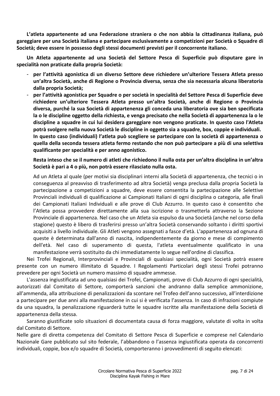**L'atleta appartenente ad una Federazione straniera o che non abbia la cittadinanza italiana, può gareggiare per una Società italiana e partecipare esclusivamente a competizioni per Società o Squadre di Società; deve essere in possesso degli stessi documenti previsti per il concorrente italiano.**

**Un Atleta appartenente ad una Società del Settore Pesca di Superficie può disputare gare in specialità non praticate dalla propria Società:**

- **per l'attività agonistica di un diverso Settore deve richiedere un'ulteriore Tessera Atleta presso un'altra Società, anche di Regione o Provincia diversa, senza che sia necessaria alcuna liberatoria dalla propria Società;**
- **per l'attività agonistica per Squadre o per società in specialità del Settore Pesca di Superficie deve richiedere un'ulteriore Tessera Atleta presso un'altra Società, anche di Regione o Provincia diversa, purché la sua Società di appartenenza gli conceda una liberatoria ove sia ben specificata la o le discipline oggetto della richiesta, e venga precisato che nella Società di appartenenza la o le discipline a squadre in cui lui desidera gareggiare non vengono praticate. In questo caso l'Atleta potrà svolgere nella nuova Società le discipline in oggetto sia a squadre, box, coppie e individuali. In questo caso (individuali) l'atleta può scegliere se partecipare con la società di appartenenza o quella della seconda tessera atleta fermo restando che non può partecipare a più di una selettiva qualificante per specialità e per anno agonistico.**

**Resta inteso che se il numero di atleti che richiedono il nulla osta per un'altra disciplina in un'altra Società è pari a 4 o più, non potrà essere rilasciato nulla osta.**

Ad un Atleta al quale (per motivi sia disciplinari interni alla Società di appartenenza, che tecnici o in conseguenza al preavviso di trasferimento ad altra Società) venga preclusa dalla propria Società la partecipazione a competizioni a squadre, deve essere consentita la partecipazione alle Selettive Provinciali individuali di qualificazione ai Campionati Italiani di ogni disciplina o categoria, alle finali dei Campionati Italiani Individuali e alle prove di Club Azzurro. In questo caso è consentito che l'Atleta possa provvedere direttamente alla sua iscrizione o trasmetterla attraverso la Sezione Provinciale di appartenenza. Nel caso che un Atleta sia espulso da una Società (anche nel corso della stagione) questo è libero di trasferirsi presso un'altra Società conservando soltanto i diritti sportivi acquisiti a livello individuale. Gli Atleti vengono assegnati a fasce d'età. L'appartenenza ad ognuna di queste è determinata dall'anno di nascita, indipendentemente da giorno e mese di compimento dell'età. Nel caso di superamento di questa, l'atleta eventualmente qualificato in una manifestazione verrà sostituito da chi immediatamente lo segue nell'ordine di classifica.

Nei Trofei Regionali, Interprovinciali e Provinciali di qualsiasi specialità, ogni Società potrà essere presente con un numero illimitato di Squadre. I Regolamenti Particolari degli stessi Trofei potranno prevedere per ogni Società un numero massimo di squadre ammesse.

L'assenza ingiustificata ad uno qualsiasi dei Trofei, Campionati, prove di Club Azzurro di ogni specialità, autorizzati dal Comitato di Settore, comporterà sanzioni che andranno dalla semplice ammonizione, all'ammenda, alla attribuzione di penalizzazioni da scontare nel Trofeo dell'anno successivo, all'interdizione a partecipare per due anni alla manifestazione in cui si è verificata l'assenza. In caso di infrazioni compiute da una squadra, la penalizzazione riguarderà tutte le squadre iscritte alla manifestazione della Società di appartenenza della stessa.

Saranno giustificate solo situazioni di documentata causa di forza maggiore, valutate di volta in volta dal Comitato di Settore.

Nelle gare di diretta competenza del Comitato di Settore Pesca di Superficie e comprese nel Calendario Nazionale Gare pubblicato sul sito federale, l'abbandono o l'assenza ingiustificata operata da concorrenti individuali, coppie, box e/o squadre di Società, comporteranno i provvedimenti di seguito elencati: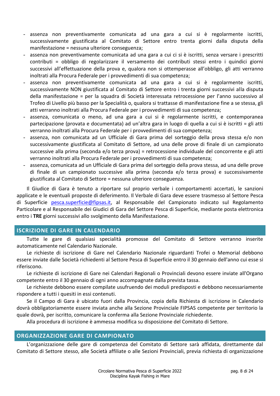- assenza non preventivamente comunicata ad una gara a cui si è regolarmente iscritti, successivamente giustificata al Comitato di Settore entro trenta giorni dalla disputa della manifestazione = nessuna ulteriore conseguenza;
- assenza non preventivamente comunicata ad una gara a cui ci si è iscritti, senza versare i prescritti contributi = obbligo di regolarizzare il versamento dei contributi stessi entro i quindici giorni successivi all'effettuazione della prova e, qualora non si ottemperasse all'obbligo, gli atti verranno inoltrati alla Procura Federale per i provvedimenti di sua competenza;
- assenza non preventivamente comunicata ad una gara a cui si è regolarmente iscritti, successivamente NON giustificata al Comitato di Settore entro i trenta giorni successivi alla disputa della manifestazione = per la squadra di Società interessata retrocessione per l'anno successivo al Trofeo di Livello più basso per la Specialità o, qualora si trattasse di manifestazione fine a se stessa, gli atti verranno inoltrati alla Procura Federale per i provvedimenti di sua competenza;
- assenza, comunicata o meno, ad una gara a cui si è regolarmente iscritti, e contemporanea partecipazione (provata e documentata) ad un'altra gara in luogo di quella a cui si è iscritti = gli atti verranno inoltrati alla Procura Federale per i provvedimenti di sua competenza;
- assenza, non comunicata ad un Ufficiale di Gara prima del sorteggio della prova stessa e/o non successivamente giustificata al Comitato di Settore, ad una delle prove di finale di un campionato successive alla prima (seconda e/o terza prova) = retrocessione individuale del concorrente e gli atti verranno inoltrati alla Procura Federale per i provvedimenti di sua competenza;
- assenza, comunicata ad un Ufficiale di Gara prima del sorteggio della prova stessa, ad una delle prove di finale di un campionato successive alla prima (seconda e/o terza prova) e successivamente giustificata al Comitato di Settore = nessuna ulteriore conseguenza.

Il Giudice di Gara è tenuto a riportare sul proprio verbale i comportamenti accertati, le sanzioni applicate e le eventuali proposte di deferimento. Il Verbale di Gara deve essere trasmesso al Settore Pesca di Superficie [pesca.superficie@fipsas.it,](mailto:pesca.superficie@fipsas.it) al Responsabile del Campionato indicato sul Regolamento Particolare e al Responsabile dei Giudici di Gara del Settore Pesca di Superficie, mediante posta elettronica entro i **TRE** giorni successivi allo svolgimento della Manifestazione.

# <span id="page-7-0"></span>**ISCRIZIONE DI GARE IN CALENDARIO**

Tutte le gare di qualsiasi specialità promosse del Comitato di Settore verranno inserite automaticamente nel Calendario Nazionale.

Le richieste di iscrizione di Gare nel Calendario Nazionale riguardanti Trofei o Memorial debbono essere inviate dalle Società richiedenti al Settore Pesca di Superficie entro il 30 gennaio dell'anno cui esse si riferiscono.

Le richieste di iscrizione di Gare nei Calendari Regionali o Provinciali devono essere inviate all'Organo competente entro il 30 gennaio di ogni anno accompagnate dalla prevista tassa.

Le richieste debbono essere compilate usufruendo dei moduli predisposti e debbono necessariamente rispondere a tutti i quesiti in essi contenuti.

Se il Campo di Gara è ubicato fuori dalla Provincia, copia della Richiesta di iscrizione in Calendario dovrà obbligatoriamente essere inviata anche alla Sezione Provinciale FIPSAS competente per territorio la quale dovrà, per iscritto, comunicare la conferma alla Sezione Provinciale richiedente.

Alla procedura di iscrizione è ammessa modifica su disposizione del Comitato di Settore.

# <span id="page-7-1"></span>**ORGANIZZAZIONE GARE DI CAMPIONATO**

L'organizzazione delle gare di competenza del Comitato di Settore sarà affidata, direttamente dal Comitato di Settore stesso, alle Società affiliate o alle Sezioni Provinciali, previa richiesta di organizzazione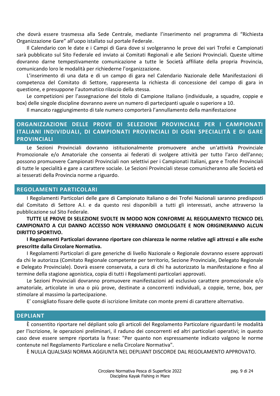che dovrà essere trasmessa alla Sede Centrale, mediante l'inserimento nel programma di "Richiesta Organizzazione Gare" all'uopo istallato sul portale Federale.

Il Calendario con le date e i Campi di Gara dove si svolgeranno le prove dei vari Trofei e Campionati sarà pubblicato sul Sito Federale ed inviato ai Comitati Regionali e alle Sezioni Provinciali. Queste ultime dovranno darne tempestivamente comunicazione a tutte le Società affiliate della propria Provincia, comunicando loro le modalità per richiederne l'organizzazione.

L'inserimento di una data e di un campo di gara nel Calendario Nazionale delle Manifestazioni di competenza del Comitato di Settore, rappresenta la richiesta di concessione del campo di gara in questione, e presuppone l'automatico rilascio della stessa.

Le competizioni per l'assegnazione del titolo di Campione Italiano (individuale, a squadre, coppie e box) delle singole discipline dovranno avere un numero di partecipanti uguale o superiore a 10.

Il mancato raggiungimento di tale numero comporterà l'annullamento della manifestazione

# <span id="page-8-0"></span>**ORGANIZZAZIONE DELLE PROVE DI SELEZIONE PROVINCIALE PER I CAMPIONATI ITALIANI INDIVIDUALI, DI CAMPIONATI PROVINCIALI DI OGNI SPECIALITÀ E DI GARE PROVINCIALI**

Le Sezioni Provinciali dovranno istituzionalmente promuovere anche un'attività Provinciale Promozionale e/o Amatoriale che consenta ai federati di svolgere attività per tutto l'arco dell'anno; possono promuovere Campionati Provinciali non selettivi per i Campionati Italiani, gare e Trofei Provinciali di tutte le specialità e gare a carattere sociale. Le Sezioni Provinciali stesse comunicheranno alle Società ed ai tesserati della Provincia norme a riguardo.

#### <span id="page-8-1"></span>**REGOLAMENTI PARTICOLARI**

I Regolamenti Particolari delle gare di Campionato Italiano o dei Trofei Nazionali saranno predisposti dal Comitato di Settore A.I. e da questo resi disponibili a tutti gli interessati, anche attraverso la pubblicazione sul Sito Federale.

#### **TUTTE LE PROVE DI SELEZIONE SVOLTE IN MODO NON CONFORME AL REGOLAMENTO TECNICO DEL CAMPIONATO A CUI DANNO ACCESSO NON VERRANNO OMOLOGATE E NON ORIGINERANNO ALCUN DIRITTO SPORTIVO.**

**I Regolamenti Particolari dovranno riportare con chiarezza le norme relative agli attrezzi e alle esche prescritte dalla Circolare Normativa.**

I Regolamenti Particolari di gare generiche di livello Nazionale o Regionale dovranno essere approvati da chi le autorizza (Comitato Regionale competente per territorio, Sezione Provinciale, Delegato Regionale e Delegato Provinciale). Dovrà essere conservata, a cura di chi ha autorizzato la manifestazione e fino al termine della stagione agonistica, copia di tutti i Regolamenti particolari approvati.

Le Sezioni Provinciali dovranno promuovere manifestazioni ad esclusivo carattere promozionale e/o amatoriale, articolate in una o più prove, destinate a concorrenti individuali, a coppie, terne, box, per stimolare al massimo la partecipazione.

E' consigliato fissare delle quote di iscrizione limitate con monte premi di carattere alternativo.

#### <span id="page-8-2"></span>**DEPLIANT**

È consentito riportare nel dépliant solo gli articoli del Regolamento Particolare riguardanti le modalità per l'iscrizione, le operazioni preliminari, il raduno dei concorrenti ed altri particolari operativi; in questo caso deve essere sempre riportata la frase: "Per quanto non espressamente indicato valgono le norme contenute nel Regolamento Particolare e nella Circolare Normativa".

È NULLA QUALSIASI NORMA AGGIUNTA NEL DEPLIANT DISCORDE DAL REGOLAMENTO APPROVATO.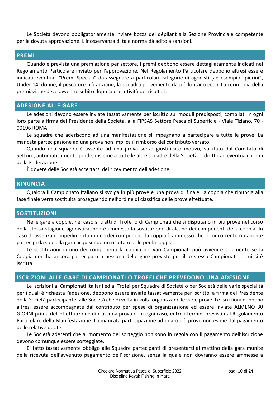Le Società devono obbligatoriamente inviare bozza del dépliant alla Sezione Provinciale competente per la dovuta approvazione. L'inosservanza di tale norma dà adito a sanzioni.

#### <span id="page-9-0"></span>**PREMI**

Quando è prevista una premiazione per settore, i premi debbono essere dettagliatamente indicati nel Regolamento Particolare inviato per l'approvazione. Nel Regolamento Particolare debbono altresì essere indicati eventuali "Premi Speciali" da assegnare a particolari categorie di agonisti (ad esempio "pierini", Under 14, donne, il pescatore più anziano, la squadra proveniente da più lontano ecc.). La cerimonia della premiazione deve avvenire subito dopo la esecutività dei risultati.

#### <span id="page-9-1"></span>**ADESIONE ALLE GARE**

Le adesioni devono essere inviate tassativamente per iscritto sui moduli predisposti, compilati in ogni loro parte a firma del Presidente della Società, alla FIPSAS Settore Pesca di Superficie - Viale Tiziano, 70 - 00196 ROMA

Le squadre che aderiscono ad una manifestazione si impegnano a partecipare a tutte le prove. La mancata partecipazione ad una prova non implica il rimborso del contributo versato.

Quando una squadra è assente ad una prova senza giustificato motivo, valutato dal Comitato di Settore, automaticamente perde, insieme a tutte le altre squadre della Società, il diritto ad eventuali premi della Federazione.

È dovere delle Società accertarsi del ricevimento dell'adesione.

#### <span id="page-9-2"></span>**RINUNCIA**

Qualora il Campionato Italiano si svolga in più prove e una prova di finale, la coppia che rinuncia alla fase finale verrà sostituita proseguendo nell'ordine di classifica delle prove effettuate.

#### <span id="page-9-3"></span>**SOSTITUZIONI**

Nelle gare a coppie, nel caso si tratti di Trofei o di Campionati che si disputano in più prove nel corso della stessa stagione agonistica, non è ammessa la sostituzione di alcuno dei componenti della coppia. In caso di assenza o impedimento di uno dei componenti la coppia è ammesso che il concorrente rimanente partecipi da solo alla gara acquisendo un risultato utile per la coppia.

Le sostituzioni di uno dei componenti la coppia nei vari Campionati può avvenire solamente se la Coppia non ha ancora partecipato a nessuna delle gare previste per il lo stesso Campionato a cui si è iscritta.

#### <span id="page-9-4"></span>**ISCRIZIONI ALLE GARE DI CAMPIONATI O TROFEI CHE PREVEDONO UNA ADESIONE**

Le iscrizioni ai Campionati Italiani ed ai Trofei per Squadre di Società o per Società delle varie specialità per i quali è richiesta l'adesione, debbono essere inviate tassativamente per iscritto, a firma del Presidente della Società partecipante, alle Società che di volta in volta organizzano le varie prove. Le iscrizioni debbono altresì essere accompagnate dal contributo per spese di organizzazione ed essere inviate ALMENO 30 GIORNI prima dell'effettuazione di ciascuna prova e, in ogni caso, entro i termini previsti dal Regolamento Particolare della Manifestazione. La mancata partecipazione ad una o più prove non esime dal pagamento delle relative quote.

Le Società aderenti che al momento del sorteggio non sono in regola con il pagamento dell'iscrizione devono comunque essere sorteggiate.

E' fatto tassativamente obbligo alle Squadre partecipanti di presentarsi al mattino della gara munite della ricevuta dell'avvenuto pagamento dell'iscrizione, senza la quale non dovranno essere ammesse a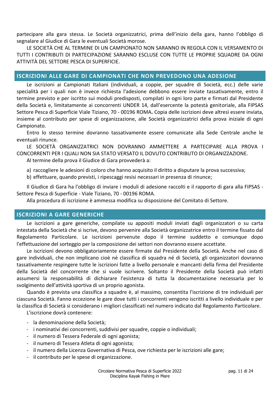partecipare alla gara stessa. Le Società organizzatrici, prima dell'inizio della gara, hanno l'obbligo di segnalare al Giudice di Gara le eventuali Società morose.

LE SOCIETÀ CHE AL TERMINE DI UN CAMPIONATO NON SARANNO IN REGOLA CON IL VERSAMENTO DI TUTTI I CONTRIBUTI DI PARTECIPAZIONE SARANNO ESCLUSE CON TUTTE LE PROPRIE SQUADRE DA OGNI ATTIVITÀ DEL SETTORE PESCA DI SUPERFICIE.

# <span id="page-10-0"></span>**ISCRIZIONI ALLE GARE DI CAMPIONATI CHE NON PREVEDONO UNA ADESIONE**

Le iscrizioni ai Campionati Italiani (individuali, a coppie, per squadre di Società, ecc.) delle varie specialità per i quali non è invece richiesta l'adesione debbono essere inviate tassativamente, entro il termine previsto e per iscritto sui moduli predisposti, compilati in ogni loro parte e firmati dal Presidente della Società e, limitatamente ai concorrenti UNDER 14, dall'esercente la potestà genitoriale, alla FIPSAS Settore Pesca di Superficie Viale Tiziano, 70 - 00196 ROMA**.** Copia delle iscrizioni deve altresì essere inviata, insieme al contributo per spese di organizzazione, alle Società organizzatrici della prova iniziale di ogni Campionato.

Entro lo stesso termine dovranno tassativamente essere comunicate alla Sede Centrale anche le eventuali rinunce.

LE SOCIETÀ ORGANIZZATRICI NON DOVRANNO AMMETTERE A PARTECIPARE ALLA PROVA I CONCORRENTI PER I QUALI NON SIA STATO VERSATO IL DOVUTO CONTRIBUTO DI ORGANIZZAZIONE.

Al termine della prova il Giudice di Gara provvederà a:

- a) raccogliere le adesioni di coloro che hanno acquisito il diritto a disputare la prova successiva;
- b) effettuare, quando previsti, i ripescaggi resisi necessari in presenza di rinunce;

Il Giudice di Gara ha l'obbligo di inviare i moduli di adesione raccolti e il rapporto di gara alla FIPSAS - Settore Pesca di Superficie - Viale Tiziano, 70 - 00196 ROMA.

Alla procedura di iscrizione è ammessa modifica su disposizione del Comitato di Settore.

# <span id="page-10-1"></span>**ISCRIZIONI A GARE GENERICHE**

Le iscrizioni a gare generiche, compilate su appositi moduli inviati dagli organizzatori o su carta intestata della Società che si iscrive, devono pervenire alla Società organizzatrice entro il termine fissato dal Regolamento Particolare. Le iscrizioni pervenute dopo il termine suddetto e comunque dopo l'effettuazione del sorteggio per la composizione dei settori non dovranno essere accettate.

Le iscrizioni devono obbligatoriamente essere firmate dal Presidente della Società. Anche nel caso di gare individuali, che non implicano cioè né classifica di squadra né di Società, gli organizzatori dovranno tassativamente respingere tutte le iscrizioni fatte a livello personale e mancanti della firma del Presidente della Società del concorrente che si vuole iscrivere. Soltanto il Presidente della Società può infatti assumersi la responsabilità di dichiarare l'esistenza di tutta la documentazione necessaria per lo svolgimento dell'attività sportiva di un proprio agonista.

Quando è prevista una classifica a squadre è, al massimo, consentita l'iscrizione di tre individuali per ciascuna Società. Fanno eccezione le gare dove tutti i concorrenti vengono iscritti a livello individuale e per la classifica di Società si considerano i migliori classificati nel numero indicato dal Regolamento Particolare.

L'iscrizione dovrà contenere:

- la denominazione della Società;
- i nominativi dei concorrenti, suddivisi per squadre, coppie o individuali;
- il numero di Tessera Federale di ogni agonista;
- il numero di Tessera Atleta di ogni agonista;
- il numero della Licenza Governativa di Pesca, ove richiesta per le iscrizioni alle gare;
- il contributo per le spese di organizzazione.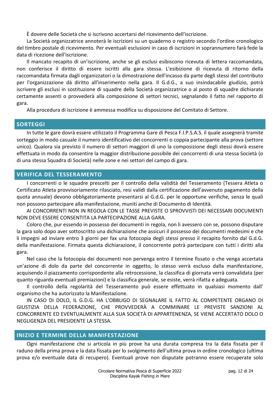È dovere delle Società che si iscrivono accertarsi del ricevimento dell'iscrizione.

La Società organizzatrice annoterà le iscrizioni su un quaderno o registro secondo l'ordine cronologico del timbro postale di ricevimento. Per eventuali esclusioni in caso di iscrizioni in soprannumero farà fede la data di ricezione dell'iscrizione.

Il mancato recapito di un'iscrizione, anche se gli esclusi esibiscono ricevuta di lettera raccomandata, non conferisce il diritto di essere iscritti alla gara stessa. L'esibizione di ricevuta di ritorno della raccomandata firmata dagli organizzatori o la dimostrazione dell'incasso da parte degli stessi del contributo per l'organizzazione dà diritto all'inserimento nella gara. Il G.d.G., a suo insindacabile giudizio, potrà iscrivere gli esclusi in sostituzione di squadre della Società organizzatrice o al posto di squadre dichiarate certamente assenti o provvederà alla composizione di settori tecnici, segnalando il fatto nel rapporto di gara.

Alla procedura di iscrizione è ammessa modifica su disposizione del Comitato di Settore.

#### <span id="page-11-0"></span>**SORTEGGI**

In tutte le gare dovrà essere utilizzato il Programma Gare di Pesca F.I.P.S.A.S. il quale assegnerà tramite sorteggio in modo casuale il numero identificativo dei concorrenti o coppia partecipante alla prova (settore unico). Qualora sia previsto il numero di settori maggiori di uno la composizione degli stessi dovrà essere effettuata in modo da consentire la maggior distribuzione possibile dei concorrenti di una stessa Società (o di una stessa Squadra di Società) nelle zone e nei settori del campo di gara.

# <span id="page-11-1"></span>**VERIFICA DEL TESSERAMENTO**

I concorrenti o le squadre prescelti per il controllo della validità del Tesseramento (Tessera Atleta o Certificato Atleta provvisoriamente rilasciato, resi validi dalla certificazione dell'avvenuto pagamento della quota annuale) devono obbligatoriamente presentarsi al G.d.G. per le opportune verifiche, senza le quali non possono partecipare alla manifestazione, muniti anche di Documento di Identità.

AI CONCORRENTI NON IN REGOLA CON LE TASSE PREVISTE O SPROVVISTI DEI NECESSARI DOCUMENTI NON DEVE ESSERE CONSENTITA LA PARTECIPAZIONE ALLA GARA.

Coloro che, pur essendo in possesso dei documenti in regola, non li avessero con se, possono disputare la gara solo dopo aver sottoscritto una dichiarazione che assicuri il possesso dei documenti medesimi e che li impegni ad inviare entro 3 giorni per fax una fotocopia degli stessi presso il recapito fornito dal G.d.G. della manifestazione. Firmata questa dichiarazione, il concorrente potrà partecipare con tutti i diritti alla gara.

Nel caso che la fotocopia dei documenti non pervenga entro il termine fissato o che venga accertata un'azione di dolo da parte del concorrente in oggetto, lo stesso verrà escluso dalla manifestazione, acquisendo il piazzamento corrispondente alla retrocessione, la classifica di giornata verrà convalidata (per quanto riguarda eventuali premiazioni) e la classifica generale, se esiste, verrà rifatta e adeguata.

Il controllo della regolarità del Tesseramento può essere effettuato in qualsiasi momento dall' organismo che ha autorizzato la Manifestazione.

IN CASO DI DOLO, IL G.D.G. HA L'OBBLIGO DI SEGNALARE IL FATTO AL COMPETENTE ORGANO DI GIUSTIZIA DELLA FEDERAZIONE, CHE PROVVEDERÀ A COMMINARE LE PREVISTE SANZIONI AL CONCORRENTE ED EVENTUALMENTE ALLA SUA SOCIETÀ DI APPARTENENZA, SE VIENE ACCERTATO DOLO O NEGLIGENZA DEL PRESIDENTE LA STESSA.

# <span id="page-11-2"></span>**INIZIO E TERMINE DELLA MANIFESTAZIONE**

Ogni manifestazione che si articola in più prove ha una durata compresa tra la data fissata per il raduno della prima prova e la data fissata per lo svolgimento dell'ultima prova in ordine cronologico (ultima prova e/o eventuale data di recupero). Eventuali prove non disputate potranno essere recuperate solo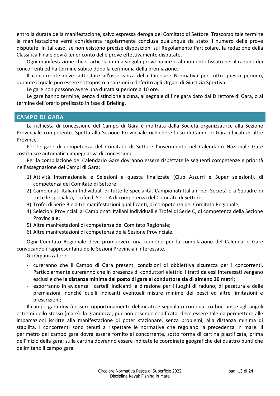entro la durata della manifestazione, salvo espressa deroga del Comitato di Settore. Trascorso tale termine la manifestazione verrà considerata regolarmente conclusa qualunque sia stato il numero delle prove disputate. In tal caso, se non esistono precise disposizioni sul Regolamento Particolare, la redazione della Classifica Finale dovrà tener conto delle prove effettivamente disputate.

Ogni manifestazione che si articola in una singola prova ha inizio al momento fissato per il raduno dei concorrenti ed ha termine subito dopo la cerimonia della premiazione.

Il concorrente deve sottostare all'osservanza della Circolare Normativa per tutto questo periodo, durante il quale può essere sottoposto a sanzioni o deferito agli Organi di Giustizia Sportiva.

Le gare non possono avere una durata superiore a 10 ore.

Le gare hanno termine, senza distinzione alcuna, al segnale di fine gara dato dal Direttore di Gara, o al termine dell'orario prefissato in fase di Briefing.

# <span id="page-12-0"></span>**CAMPO DI GARA**

La richiesta di concessione del Campo di Gara è inoltrata dalla Società organizzatrice alla Sezione Provinciale competente. Spetta alla Sezione Provinciale richiedere l'uso di Campi di Gara ubicati in altre Province.

Per le gare di competenza del Comitato di Settore l'inserimento nel Calendario Nazionale Gare costituisce automatica impegnativa di concessione.

Per la compilazione del Calendario Gare dovranno essere rispettate le seguenti competenze e priorità nell'assegnazione dei Campi di Gara:

- 1) Attività Internazionale e Selezioni a questa finalizzate (Club Azzurri e Super selezioni), di competenza del Comitato di Settore;
- 2) Campionati Italiani Individuali di tutte le specialità, Campionati Italiani per Società e a Squadre di tutte le specialità, Trofei di Serie A di competenza del Comitato di Settore;
- 3) Trofei di Serie B e altre manifestazioni qualificanti, di competenza del Comitato Regionale;
- 4) Selezioni Provinciali ai Campionati Italiani Individuali e Trofei di Serie C, di competenza della Sezione Provinciale;
- 5) Altre manifestazioni di competenza del Comitato Regionale;
- 6) Altre manifestazioni di competenza della Sezione Provinciale.

Ogni Comitato Regionale deve promuovere una riunione per la compilazione del Calendario Gare convocando i rappresentanti delle Sezioni Provinciali interessate.

Gli Organizzatori:

- cureranno che il Campo di Gara presenti condizioni di obbiettiva sicurezza per i concorrenti. Particolarmente cureranno che in presenza di conduttori elettrici i tratti da essi interessati vengano esclusi e che **la distanza minima dal posto di gara al conduttore sia di almeno 30 metri**;
- esporranno in evidenza i cartelli indicanti la direzione per i luoghi di raduno, di pesatura e delle premiazioni, nonché quelli indicanti eventuali misure minime dei pesci ed altre limitazioni e prescrizioni;

Il campo gara dovrà essere opportunamente delimitato e segnalato con quattro boe poste agli angoli estremi dello stesso (mare): la grandezza, pur non essendo codificata, deve essere tale da permettere alle imbarcazioni iscritte alla manifestazione di poter stazionare, senza problemi, alla distanza minima di stabilita. I concorrenti sono tenuti a rispettare le normative che regolano la precedenza in mare. Il perimetro del campo gara dovrà essere fornito al concorrente, sotto forma di cartina plastificata, prima dell'inizio della gara; sulla cartina dovranno essere indicate le coordinate geografiche dei quattro punti che delimitano il campo gara.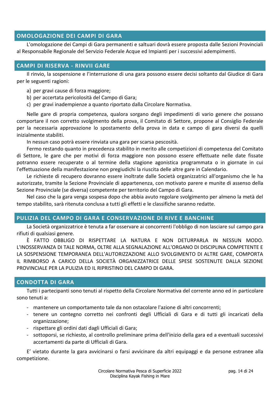#### <span id="page-13-0"></span>**OMOLOGAZIONE DEI CAMPI DI GARA**

L'omologazione dei Campi di Gara permanenti e saltuari dovrà essere proposta dalle Sezioni Provinciali al Responsabile Regionale del Servizio Federale Acque ed Impianti per i successivi adempimenti.

# <span id="page-13-1"></span>**CAMPI DI RISERVA - RINVII GARE**

Il rinvio, la sospensione e l'interruzione di una gara possono essere decisi soltanto dal Giudice di Gara per le seguenti ragioni:

- a) per gravi cause di forza maggiore;
- b) per accertata pericolosità del Campo di Gara;
- c) per gravi inadempienze a quanto riportato dalla Circolare Normativa.

Nelle gare di propria competenza, qualora sorgano degli impedimenti di vario genere che possano comportare il non corretto svolgimento della prova, il Comitato di Settore, propone al Consiglio Federale per la necessaria approvazione lo spostamento della prova in data e campo di gara diversi da quelli inizialmente stabiliti.

In nessun caso potrà essere rinviata una gara per scarsa pescosità.

Fermo restando quanto in precedenza stabilito in merito alle competizioni di competenza del Comitato di Settore, le gare che per motivi di forza maggiore non possono essere effettuate nelle date fissate potranno essere recuperate o al termine della stagione agonistica programmata o in giornate in cui l'effettuazione della manifestazione non pregiudichi la riuscita delle altre gare in Calendario.

Le richieste di recupero dovranno essere inoltrate dalle Società organizzatrici all'organismo che le ha autorizzate, tramite la Sezione Provinciale di appartenenza, con motivato parere e munite di assenso della Sezione Provinciale (se diversa) competente per territorio del Campo di Gara.

Nel caso che la gara venga sospesa dopo che abbia avuto regolare svolgimento per almeno la metà del tempo stabilito, sarà ritenuta conclusa a tutti gli effetti e le classifiche saranno redatte.

# <span id="page-13-2"></span>**PULIZIA DEL CAMPO DI GARA E CONSERVAZIONE DI RIVE E BANCHINE**

La Società organizzatrice è tenuta a far osservare ai concorrenti l'obbligo di non lasciare sul campo gara rifiuti di qualsiasi genere.

È FATTO OBBLIGO DI RISPETTARE LA NATURA E NON DETURPARLA IN NESSUN MODO. L'INOSSERVANZA DI TALE NORMA, OLTRE ALLA SEGNALAZIONE ALL'ORGANO DI DISCIPLINA COMPETENTE E LA SOSPENSIONE TEMPORANEA DELL'AUTORIZZAZIONE ALLO SVOLGIMENTO DI ALTRE GARE, COMPORTA IL RIMBORSO A CARICO DELLA SOCIETÀ ORGANIZZATRICE DELLE SPESE SOSTENUTE DALLA SEZIONE PROVINCIALE PER LA PULIZIA ED IL RIPRISTINO DEL CAMPO DI GARA.

# <span id="page-13-3"></span>**CONDOTTA DI GARA**

Tutti i partecipanti sono tenuti al rispetto della Circolare Normativa del corrente anno ed in particolare sono tenuti a:

- mantenere un comportamento tale da non ostacolare l'azione di altri concorrenti;
- tenere un contegno corretto nei confronti degli Ufficiali di Gara e di tutti gli incaricati della organizzazione;
- rispettare gli ordini dati dagli Ufficiali di Gara;
- sottoporsi, se richiesto, al controllo preliminare prima dell'inizio della gara ed a eventuali successivi accertamenti da parte di Ufficiali di Gara.

E' vietato durante la gara avvicinarsi o farsi avvicinare da altri equipaggi e da persone estranee alla competizione.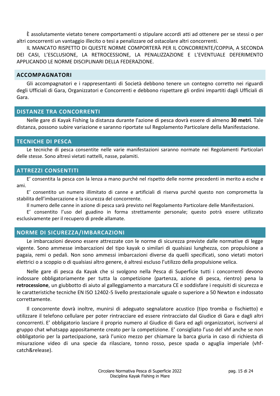È assolutamente vietato tenere comportamenti o stipulare accordi atti ad ottenere per se stessi o per altri concorrenti un vantaggio illecito o tesi a penalizzare od ostacolare altri concorrenti.

IL MANCATO RISPETTO DI QUESTE NORME COMPORTERÀ PER IL CONCORRENTE/COPPIA, A SECONDA DEI CASI, L'ESCLUSIONE, LA RETROCESSIONE, LA PENALIZZAZIONE E L'EVENTUALE DEFERIMENTO APPLICANDO LE NORME DISCIPLINARI DELLA FEDERAZIONE.

#### <span id="page-14-0"></span>**ACCOMPAGNATORI**

Gli accompagnatori e i rappresentanti di Società debbono tenere un contegno corretto nei riguardi degli Ufficiali di Gara, Organizzatori e Concorrenti e debbono rispettare gli ordini impartiti dagli Ufficiali di Gara.

# <span id="page-14-1"></span>**DISTANZE TRA CONCORRENTI**

Nelle gare di Kayak Fishing la distanza durante l'azione di pesca dovrà essere di almeno **30 metri**. Tale distanza, possono subire variazione e saranno riportate sul Regolamento Particolare della Manifestazione.

# <span id="page-14-2"></span>**TECNICHE DI PESCA**

Le tecniche di pesca consentite nelle varie manifestazioni saranno normate nei Regolamenti Particolari delle stesse. Sono altresì vietati nattelli, nasse, palamiti.

# <span id="page-14-3"></span>**ATTREZZI CONSENTITI**

E' consentita la pesca con la lenza a mano purché nel rispetto delle norme precedenti in merito a esche e ami.

E' consentito un numero illimitato di canne e artificiali di riserva purché questo non comprometta la stabilita dell'imbarcazione e la sicurezza del concorrente.

Il numero delle canne in azione di pesca sarà previsto nel Regolamento Particolare delle Manifestazioni.

E' consentito l'uso del guadino in forma strettamente personale; questo potrà essere utilizzato esclusivamente per il recupero di prede allamate.

# <span id="page-14-4"></span>**NORME DI SICUREZZA/IMBARCAZIONI**

Le imbarcazioni devono essere attrezzate con le norme di sicurezza previste dalle normative di legge vigente. Sono ammesse imbarcazioni del tipo kayak o similari di qualsiasi lunghezza, con propulsione a pagaia, remi o pedali. Non sono ammessi imbarcazioni diverse da quelli specificati, sono vietati motori elettrici o a scoppio o di qualsiasi altro genere, è altresì escluso l'utilizzo della propulsione velica.

Nelle gare di pesca da Kayak che si svolgono nella Pesca di Superficie tutti i concorrenti devono indossare obbligatoriamente per tutta la competizione (partenza, azione di pesca, rientro) pena la **retrocessione**, un giubbotto di aiuto al galleggiamento a marcatura CE e soddisfare i requisiti di sicurezza e le caratteristiche tecniche EN ISO 12402-5 livello prestazionale uguale o superiore a 50 Newton e indossato correttamente.

Il concorrente dovrà inoltre, munirsi di adeguato segnalatore acustico (tipo tromba o fischietto) e utilizzare il telefono cellulare per poter rintracciare ed essere rintracciato dal Giudice di Gara e dagli altri concorrenti. E' obbligatorio lasciare il proprio numero al Giudice di Gara ed agli organizzatori, iscriversi al gruppo chat whatsapp appositamente creato per la competizione. E' consigliato l'uso del vhf anche se non obbligatorio per la partecipazione, sarà l'unico mezzo per chiamare la barca giuria in caso di richiesta di misurazione video di una specie da rilasciare, tonno rosso, pesce spada o aguglia imperiale (vhfcatch&release).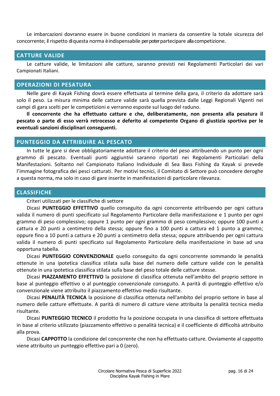Le imbarcazioni dovranno essere in buone condizioni in maniera da consentire la totale sicurezza del concorrente; il rispetto di questa norma è indispensabile per poter partecipare alla competizione.

#### <span id="page-15-0"></span>**CATTURE VALIDE**

Le catture valide, le limitazioni alle catture, saranno previsti nei Regolamenti Particolari dei vari Campionati Italiani.

#### <span id="page-15-1"></span>**OPERAZIONI DI PESATURA**

Nelle gare di Kayak Fishing dovrà essere effettuata al termine della gara, il criterio da adottare sarà solo il peso. La misura minima delle catture valide sarà quella prevista dalle Leggi Regionali Vigenti nei campi di gara scelti per le competizioni e verranno esposte sul luogo del raduno.

**Il concorrente che ha effettuato catture e che, deliberatamente, non presenta alla pesatura il pescato o parte di esso verrà retrocesso e deferito al competente Organo di giustizia sportiva per le eventuali sanzioni disciplinari conseguenti.**

# <span id="page-15-2"></span>**PUNTEGGIO DA ATTRIBUIRE AL PESCATO**

In tutte le gare si deve obbligatoriamente adottare il criterio del peso attribuendo un punto per ogni grammo di pescato. Eventuali punti aggiuntivi saranno riportati nei Regolamenti Particolari della Manifestazioni. Soltanto nel Campionato Italiano Individuale di Sea Bass Fishing da Kayak si prevede l'immagine fotografica dei pesci catturati. Per motivi tecnici, il Comitato di Settore può concedere deroghe a questa norma, ma solo in caso di gare inserite in manifestazioni di particolare rilevanza.

#### <span id="page-15-3"></span>**CLASSIFICHE**

#### Criteri utilizzati per le classifiche di settore

Dicasi **PUNTEGGIO EFFETTIVO** quello conseguito da ogni concorrente attribuendo per ogni cattura valida il numero di punti specificato sul Regolamento Particolare della manifestazione e 1 punto per ogni grammo di peso complessivo; oppure 1 punto per ogni grammo di peso complessivo; oppure 100 punti a cattura e 20 punti a centimetro della stessa; oppure fino a 100 punti a cattura ed 1 punto a grammo; oppure fino a 10 punti a cattura e 20 punti a centimetro della stessa; oppure attribuendo per ogni cattura valida il numero di punti specificato sul Regolamento Particolare della manifestazione in base ad una opportuna tabella.

Dicasi **PUNTEGGIO CONVENZIONALE** quello conseguito da ogni concorrente sommando le penalità ottenute in una ipotetica classifica stilata sulla base del numero delle catture valide con le penalità ottenute in una ipotetica classifica stilata sulla base del peso totale delle catture stesse.

Dicasi **PIAZZAMENTO EFFETTIVO** la posizione di classifica ottenuta nell'ambito del proprio settore in base al punteggio effettivo o al punteggio convenzionale conseguito. A parità di punteggio effettivo e/o convenzionale viene attribuito il piazzamento effettivo medio risultante.

Dicasi **PENALITÀ TECNICA** la posizione di classifica ottenuta nell'ambito del proprio settore in base al numero delle catture effettuate. A parità di numero di catture viene attribuita la penalità tecnica media risultante.

Dicasi **PUNTEGGIO TECNICO** il prodotto fra la posizione occupata in una classifica di settore effettuata in base al criterio utilizzato (piazzamento effettivo o penalità tecnica) e il coefficiente di difficoltà attribuito alla prova.

Dicasi **CAPPOTTO** la condizione del concorrente che non ha effettuato catture. Ovviamente al cappotto viene attribuito un punteggio effettivo pari a 0 (zero).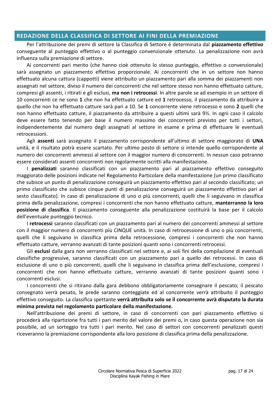#### <span id="page-16-0"></span>**REDAZIONE DELLA CLASSIFICA DI SETTORE AI FINI DELLA PREMIAZIONE**

Per l'attribuzione dei premi di settore la Classifica di Settore è determinata dal **piazzamento effettivo** conseguente al punteggio effettivo o al punteggio convenzionale ottenuto. La penalizzazione non avrà influenza sulla premiazione di settore.

Ai concorrenti pari merito (che hanno cioè ottenuto lo stesso punteggio, effettivo o convenzionale) sarà assegnato un piazzamento effettivo proporzionale. Ai concorrenti che in un settore non hanno effettuato alcuna cattura (cappotti) viene attribuito un piazzamento pari alla somma dei piazzamenti non assegnati nel settore, diviso il numero dei concorrenti che nel settore stesso non hanno effettuato catture, compresi gli assenti, i ritirati e gli esclusi, **ma non i retrocessi**. In altre parole se ad esempio in un settore di 10 concorrenti ce ne sono **1** che non ha effettuato catture ed **1** retrocesso, il piazzamento da attribuire a quello che non ha effettuato catture sarà pari a 10. Se **1** concorrente viene retrocesso e sono **2** quelli che non hanno effettuato catture, il piazzamento da attribuire a questi ultimi sarà 9½. In ogni caso il calcolo deve essere fatto tenendo per base il numero massimo dei concorrenti previsto per tutti i settori, indipendentemente dal numero degli assegnati al settore in esame e prima di effettuare le eventuali retrocessioni.

Agli **assenti** sarà assegnato il piazzamento corrispondente all'ultimo di settore maggiorato di **UNA** unità, e il risultato potrà essere scartato. Per ultimo posto di settore si intende quello corrispondente al numero dei concorrenti ammessi al settore con il maggior numero di concorrenti. In nessun caso potranno essere considerati assenti concorrenti non regolarmente iscritti alla manifestazione.

I **penalizzati** saranno classificati con un piazzamento pari al piazzamento effettivo conseguito maggiorato delle posizioni indicate nel Regolamento Particolare della manifestazione (un primo classificato che subisce un punto di penalizzazione conseguirà un piazzamento effettivo pari al secondo classificato; un primo classificato che subisce cinque punti di penalizzazione conseguirà un piazzamento effettivo pari al sesto classificato). In caso di penalizzazione di uno o più concorrenti, quelli che li seguivano in classifica prima della penalizzazione, compresi i concorrenti che non hanno effettuato catture, **manterranno la loro posizione di classifica**. Il piazzamento conseguente alla penalizzazione costituirà la base per il calcolo dell'eventuale punteggio tecnico.

I **retrocessi** saranno classificati con un piazzamento pari al numero dei concorrenti ammessi al settore con il maggior numero di concorrenti più CINQUE unità. In caso di retrocessione di uno o più concorrenti, quelli che li seguivano in classifica prima della retrocessione, compresi i concorrenti che non hanno effettuato catture, verranno avanzati di tante posizioni quanti sono i concorrenti retrocessi.

Gli **esclusi** dalla gara non verranno classificati nel settore e, ai soli fini della compilazione di eventuali classifiche progressive, saranno classificati con un piazzamento pari a quello dei retrocessi. In caso di esclusione di uno o più concorrenti, quelli che li seguivano in classifica prima dell'esclusione, compresi i concorrenti che non hanno effettuato catture, verranno avanzati di tante posizioni quanti sono i concorrenti esclusi.

I concorrenti che si ritirano dalla gara debbono obbligatoriamente consegnare il pescato; il pescato consegnato verrà pesato, le prede saranno conteggiate ed al concorrente verrà attribuito il punteggio effettivo conseguito. La classifica spettante **verrà attribuita solo se il concorrente avrà disputato la durata minima prevista nel regolamento particolare della manifestazione.**

Nell'attribuzione dei premi di settore, in caso di concorrenti con pari piazzamento effettivo si procederà alla ripartizione fra tutti i pari merito del valore dei premi o, in caso questa operazione non sia possibile, ad un sorteggio tra tutti i pari merito. Nel caso di settori con concorrenti penalizzati questi riceveranno la premiazione corrispondente alla loro posizione di classifica prima della penalizzazione.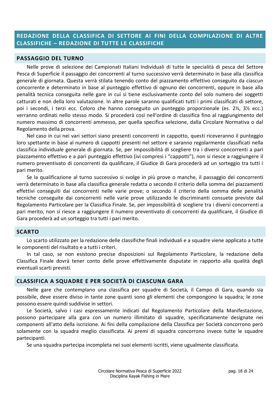# <span id="page-17-0"></span>**REDAZIONE DELLA CLASSIFICA DI SETTORE AI FINI DELLA COMPILAZIONE DI ALTRE CLASSIFICHE – REDAZIONE DI TUTTE LE CLASSIFICHE**

#### <span id="page-17-1"></span>**PASSAGGIO DEL TURNO**

Nelle prove di selezione dei Campionati Italiani Individuali di tutte le specialità di pesca del Settore Pesca di Superficie il passaggio dei concorrenti al turno successivo verrà determinato in base alla classifica generale di giornata. Questa verrà stilata tenendo conto del piazzamento effettivo conseguito da ciascun concorrente e determinato in base al punteggio effettivo di ognuno dei concorrenti, oppure in base alla penalità tecnica conseguita nelle gare in cui si tiene esclusivamente conto del solo numero dei soggetti catturati e non della loro valutazione. In altre parole saranno qualificati tutti i primi classificati di settore, poi i secondi, i terzi ecc. Coloro che hanno conseguito un punteggio proporzionale (es. 2½, 3½ ecc.) verranno ordinati nello stesso modo. Si procederà così nell'ordine di classifica fino al raggiungimento del numero massimo di concorrenti ammesso, per quella specifica selezione, dalla Circolare Normativa o dal Regolamento della prova.

Nel caso in cui nei vari settori siano presenti concorrenti in cappotto, questi riceveranno il punteggio loro spettante in base al numero di cappotti presenti nel settore e saranno regolarmente classificati nella classifica individuale generale di giornata. Se, per impossibilità di scegliere tra i diversi concorrenti a pari piazzamento effettivo e a pari punteggio effettivo (ivi compresi i "cappotti"), non si riesce a raggiungere il numero preventivato di concorrenti da qualificare, il Giudice di Gara procederà ad un sorteggio tra tutti i pari merito.

Se la qualificazione al turno successivo si svolge in più prove o manche, il passaggio dei concorrenti verrà determinato in base alla classifica generale redatta o secondo il criterio della somma dei piazzamenti effettivi conseguiti dai concorrenti nelle varie prove; o secondo il criterio della somma delle penalità tecniche conseguite dai concorrenti nelle varie prove utilizzando le discriminanti consuete previste dal Regolamento Particolare per la Classifica Finale. Se, per impossibilità di scegliere tra i diversi concorrenti a pari merito, non si riesce a raggiungere il numero preventivato di concorrenti da qualificare, il Giudice di Gara procederà ad un sorteggio tra tutti i pari merito.

#### <span id="page-17-2"></span>**SCARTO**

Lo scarto utilizzato per la redazione delle classifiche finali individuali e a squadre viene applicato a tutte le componenti del risultato e a tutti i criteri.

In tal caso, se non esistono precise disposizioni sul Regolamento Particolare, la redazione della Classifica Finale dovrà tener conto delle prove effettivamente disputate in rapporto alla qualità degli eventuali scarti previsti.

#### <span id="page-17-3"></span>**CLASSIFICA A SQUADRE E PER SOCIETÀ DI CIASCUNA GARA**

Nelle gare che contemplano una classifica per squadre di Società, il Campo di Gara, quando sia possibile, deve essere diviso in tante zone quanti sono gli elementi che compongono la squadra; le zone possono essere quindi suddivise in settori.

Le Società, salvo i casi espressamente indicati dal Regolamento Particolare della Manifestazione, possono partecipare alla gara con un numero illimitato di squadre, specificatamente designate nei componenti all'atto della iscrizione. Ai fini della compilazione della Classifica per Società concorrono però solamente con la squadra meglio classificata. Ai premi di squadra concorrono invece tutte le squadre partecipanti.

Se una squadra partecipa incompleta nei suoi elementi iscritti, viene ugualmente classificata.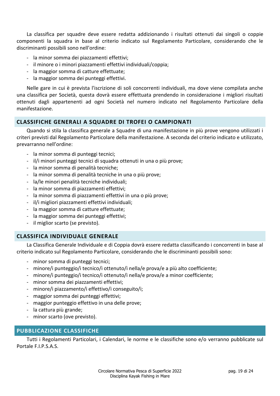La classifica per squadre deve essere redatta addizionando i risultati ottenuti dai singoli o coppie componenti la squadra in base al criterio indicato sul Regolamento Particolare, considerando che le discriminanti possibili sono nell'ordine:

- la minor somma dei piazzamenti effettivi;
- il minore o i minori piazzamenti effettivi individuali/coppia;
- la maggior somma di catture effettuate;
- la maggior somma dei punteggi effettivi.

Nelle gare in cui è prevista l'iscrizione di soli concorrenti individuali, ma dove viene compilata anche una classifica per Società, questa dovrà essere effettuata prendendo in considerazione i migliori risultati ottenuti dagli appartenenti ad ogni Società nel numero indicato nel Regolamento Particolare della manifestazione.

# <span id="page-18-0"></span>**CLASSIFICHE GENERALI A SQUADRE DI TROFEI O CAMPIONATI**

Quando si stila la classifica generale a Squadre di una manifestazione in più prove vengono utilizzati i criteri previsti dal Regolamento Particolare della manifestazione. A seconda del criterio indicato e utilizzato, prevarranno nell'ordine:

- la minor somma di punteggi tecnici;
- il/i minori punteggi tecnici di squadra ottenuti in una o più prove;
- la minor somma di penalità tecniche;
- la minor somma di penalità tecniche in una o più prove;
- la/le minori penalità tecniche individuali;
- la minor somma di piazzamenti effettivi;
- la minor somma di piazzamenti effettivi in una o più prove;
- il/i migliori piazzamenti effettivi individuali;
- la maggior somma di catture effettuate;
- la maggior somma dei punteggi effettivi;
- il miglior scarto (se previsto).

# <span id="page-18-1"></span>**CLASSIFICA INDIVIDUALE GENERALE**

La Classifica Generale Individuale e di Coppia dovrà essere redatta classificando i concorrenti in base al criterio indicato sul Regolamento Particolare, considerando che le discriminanti possibili sono:

- minor somma di punteggi tecnici;
- minore/i punteggio/i tecnico/i ottenuto/i nella/e prova/e a più alto coefficiente;
- minore/i punteggio/i tecnico/i ottenuto/i nella/e prova/e a minor coefficiente;
- minor somma dei piazzamenti effettivi;
- minore/i piazzamento/i effettivo/i conseguito/i;
- maggior somma dei punteggi effettivi;
- maggior punteggio effettivo in una delle prove;
- la cattura più grande;
- minor scarto (ove previsto).

# <span id="page-18-2"></span>**PUBBLICAZIONE CLASSIFICHE**

Tutti i Regolamenti Particolari, i Calendari, le norme e le classifiche sono e/o verranno pubblicate sul Portale F.I.P.S.A.S.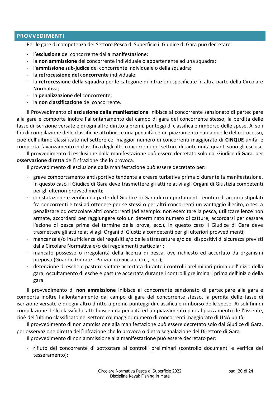# <span id="page-19-0"></span>**PROVVEDIMENTI**

Per le gare di competenza del Settore Pesca di Superficie il Giudice di Gara può decretare:

- l'**esclusione** del concorrente dalla manifestazione;
- la **non ammissione** del concorrente individuale o appartenente ad una squadra;
- l'**ammissione sub-judice** del concorrente individuale o della squadra;
- la **retrocessione del concorrente** individuale;
- la **retrocessione della squadra** per le categorie di infrazioni specificate in altra parte della Circolare Normativa;
- la **penalizzazione** del concorrente;
- la **non classificazione** del concorrente.

Il Provvedimento di **esclusione dalla manifestazione** inibisce al concorrente sanzionato di partecipare alla gara e comporta inoltre l'allontanamento dal campo di gara del concorrente stesso, la perdita delle tasse di iscrizione versate e di ogni altro diritto a premi, punteggi di classifica e rimborso delle spese. Ai soli fini di compilazione delle classifiche attribuisce una penalità ed un piazzamento pari a quelle del retrocesso, cioè dell'ultimo classificato nel settore col maggior numero di concorrenti maggiorato di **CINQUE** unità, e comporta l'avanzamento in classifica degli altri concorrenti del settore di tante unità quanti sono gli esclusi.

Il provvedimento di esclusione dalla manifestazione può essere decretato solo dal Giudice di Gara, per **osservazione diretta** dell'infrazione che lo provoca.

Il provvedimento di esclusione dalla manifestazione può essere decretato per:

- grave comportamento antisportivo tendente a creare turbativa prima o durante la manifestazione. In questo caso il Giudice di Gara deve trasmettere gli atti relativi agli Organi di Giustizia competenti per gli ulteriori provvedimenti;
- constatazione e verifica da parte del Giudice di Gara di comportamenti tenuti o di accordi stipulati fra concorrenti e tesi ad ottenere per se stessi o per altri concorrenti un vantaggio illecito, o tesi a penalizzare od ostacolare altri concorrenti (ad esempio: non esercitare la pesca, utilizzare lenze non armate, accordarsi per raggiungere solo un determinato numero di catture, accordarsi per cessare l'azione di pesca prima del termine della prova, ecc.). In questo caso il Giudice di Gara deve trasmettere gli atti relativi agli Organi di Giustizia competenti per gli ulteriori provvedimenti;
- mancanza e/o insufficienza dei requisiti e/o delle attrezzature e/o dei dispositivi di sicurezza previsti dalla Circolare Normativa e/o dai regolamenti particolari;
- mancato possesso o irregolarità della licenza di pesca, ove richiesto ed accertato da organismi preposti (Guardie Giurate - Polizia provinciale ecc., ecc.);
- detenzione di esche e pasture vietate accertata durante i controlli preliminari prima dell'inizio della gara; occultamento di esche e pasture accertata durante i controlli preliminari prima dell'inizio della gara.

Il provvedimento di **non ammissione** inibisce al concorrente sanzionato di partecipare alla gara e comporta inoltre l'allontanamento dal campo di gara del concorrente stesso, la perdita delle tasse di iscrizione versate e di ogni altro diritto a premi, punteggi di classifica e rimborso delle spese. Ai soli fini di compilazione delle classifiche attribuisce una penalità ed un piazzamento pari al piazzamento dell'assente, cioè dell'ultimo classificato nel settore col maggior numero di concorrenti maggiorato di UNA unità.

Il provvedimento di non ammissione alla manifestazione può essere decretato solo dal Giudice di Gara, per osservazione diretta dell'infrazione che lo provoca o dietro segnalazione del Direttore di Gara.

Il provvedimento di non ammissione alla manifestazione può essere decretato per:

- rifiuto del concorrente di sottostare ai controlli preliminari (controllo documenti e verifica del tesseramento);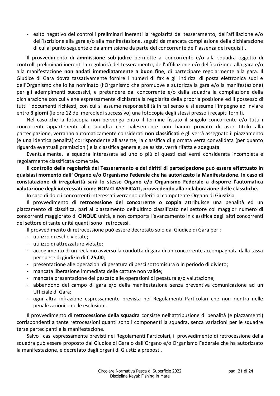- esito negativo dei controlli preliminari inerenti la regolarità del tesseramento, dell'affiliazione e/o dell'iscrizione alla gara e/o alla manifestazione, seguiti da mancata compilazione della dichiarazione di cui al punto seguente o da ammissione da parte del concorrente dell' assenza dei requisiti.

Il provvedimento di **ammissione sub-judice** permette al concorrente e/o alla squadra oggetto di controlli preliminari inerenti la regolarità del tesseramento, dell'affiliazione e/o dell'iscrizione alla gara e/o alla manifestazione **non andati immediatamente a buon fine**, di partecipare regolarmente alla gara. Il Giudice di Gara dovrà tassativamente fornire i numeri di fax e gli indirizzi di posta elettronica suoi e dell'Organismo che lo ha nominato (l'Organismo che promuove e autorizza la gara e/o la manifestazione) per gli adempimenti successivi, e pretendere dal concorrente e/o dalla squadra la compilazione della dichiarazione con cui viene espressamente dichiarata la regolarità della propria posizione ed il possesso di tutti i documenti richiesti, con cui si assume responsabilità in tal senso e si assume l'impegno ad inviare entro **3 giorni** (le ore 12 del mercoledì successivo) una fotocopia degli stessi presso i recapiti forniti.

Nel caso che la fotocopia non pervenga entro il termine fissato il singolo concorrente e/o tutti i concorrenti appartenenti alla squadra che palesemente non hanno provato di aver titolo alla partecipazione, verranno automaticamente considerati **non classificati** e gli verrà assegnato il piazzamento (e una identica penalità) corrispondente all'assente, la classifica di giornata verrà convalidata (per quanto riguarda eventuali premiazioni) e la classifica generale, se esiste, verrà rifatta e adeguata.

Eventualmente, la squadra interessata ad uno o più di questi casi verrà considerata incompleta e regolarmente classificata come tale.

**Il controllo della regolarità del Tesseramento e dei diritti di partecipazione può essere effettuato in qualsiasi momento dall' Organo e/o Organismo Federale che ha autorizzato la Manifestazione. In caso di constatazione di irregolarità sarà lo stesso Organo e/o Organismo Federale a disporre l'automatica valutazione degli interessati come NON CLASSIFICATI, provvedendo alla rielaborazione delle classifiche.**

In caso di dolo i concorrenti interessati verranno deferiti al competente Organo di Giustizia.

Il provvedimento di **retrocessione del concorrente o coppia** attribuisce una penalità ed un piazzamento di classifica, pari al piazzamento dell'ultimo classificato nel settore col maggior numero di concorrenti maggiorato di **CINQUE** unità, e non comporta l'avanzamento in classifica degli altri concorrenti del settore di tante unità quanti sono i retrocessi.

Il provvedimento di retrocessione può essere decretato solo dal Giudice di Gara per :

- utilizzo di esche vietate;
- utilizzo di attrezzature vietate;
- accoglimento di un reclamo avverso la condotta di gara di un concorrente accompagnata dalla tassa per spese di giudizio di **€ 25,00**;
- presentazione alle operazioni di pesatura di pesci sottomisura o in periodo di divieto;
- mancata liberazione immediata delle catture non valide;
- mancata presentazione del pescato alle operazioni di pesatura e/o valutazione;
- abbandono del campo di gara e/o della manifestazione senza preventiva comunicazione ad un Ufficiale di Gara;
- ogni altra infrazione espressamente prevista nei Regolamenti Particolari che non rientra nelle penalizzazioni o nelle esclusioni.

Il provvedimento di **retrocessione della squadra** consiste nell'attribuzione di penalità (e piazzamenti) corrispondenti a tante retrocessioni quanti sono i componenti la squadra, senza variazioni per le squadre terze partecipanti alla manifestazione.

Salvo i casi espressamente previsti nei Regolamenti Particolari, il provvedimento di retrocessione della squadra può essere proposto dal Giudice di Gara o dall'Organo e/o Organismo Federale che ha autorizzato la manifestazione, e decretato dagli organi di Giustizia preposti.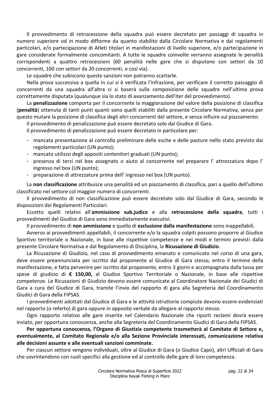Il provvedimento di retrocessione della squadra può essere decretato per passaggi di squadra in numero superiore od in modo difforme da quanto stabilito dalla Circolare Normativa e dai regolamenti particolari, e/o partecipazione di Atleti titolari in manifestazioni di livello superiore, e/o partecipazione in gare considerate formalmente concomitanti. A tutte le squadre coinvolte verranno assegnate le penalità corrispondenti a quattro retrocessioni (60 penalità nelle gare che si disputano con settori da 10 concorrenti, 100 con settori da 20 concorrenti, e così via).

Le squadre che subiscono queste sanzioni non potranno scartarle.

Nella prova successiva a quella in cui si è verificata l'infrazione, per verificare il corretto passaggio di concorrenti da una squadra all'altra ci si baserà sulla composizione delle squadre nell'ultima prova correttamente disputata (qualunque sia lo stato di avanzamento dell'iter del provvedimento).

La **penalizzazione** comporta per il concorrente la maggiorazione del valore della posizione di classifica (**penalità**) ottenuta di tanti punti quanti sono quelli stabiliti dalla presente Circolare Normativa, senza per questo mutare la posizione di classifica degli altri concorrenti del settore, e senza influire sul piazzamento.

Il provvedimento di penalizzazione può essere decretato solo dal Giudice di Gara.

Il provvedimento di penalizzazione può essere decretato in particolare per:

- mancata presentazione al controllo preliminare delle esche e delle pasture nello stato previsto dai regolamenti particolari (UN punto);
- mancato utilizzo degli appositi contenitori graduati (UN punto);
- presenza di terzi nel box assegnato o aiuto al concorrente nel preparare l' attrezzatura dopo l' ingresso nel box (UN punto);
- preparazione di attrezzature prima dell' ingresso nel box (UN punto).

La **non classificazione** attribuisce una penalità ed un piazzamento di classifica, pari a quello dell'ultimo classificato nel settore col maggior numero di concorrenti.

Il provvedimento di non classificazione può essere decretato solo dal Giudice di Gara, secondo le disposizioni dei Regolamenti Particolari.

Eccetto quelli relativi all'**ammissione sub.judice** e alla **retrocessione della squadra**, tutti i provvedimenti del Giudice di Gara sono immediatamente esecutivi.

Il provvedimento di **non ammissione** e quello di **esclusione dalla manifestazione** sono inappellabili.

Avverso ai provvedimenti appellabili, il concorrente e/o la squadra colpiti possono proporre al Giudice Sportivo territoriale o Nazionale, in base alle rispettive competenze e nei modi e termini previsti dalla presente Circolare Normativa e dal Regolamento di Disciplina, la **Ricusazione di Giudizio**.

La Ricusazione di Giudizio, nel caso di provvedimento emanato e comunicato nel corso di una gara, deve essere preannunciata per iscritto dal proponente al Giudice di Gara stesso, entro il termine della manifestazione, e fatta pervenire per iscritto dal proponente, entro 3 giorni e accompagnata dalla tassa per spese di giudizio di **€ 150,00,** al Giudice Sportivo Territoriale o Nazionale, in base alle rispettive competenze. Le Ricusazioni di Giudizio devono essere comunicate al Coordinatore Nazionale dei Giudici di Gara a cura del Giudice di Gara, tramite l'invio del rapporto di gara alla Segreteria del Coordinamento Giudici di Gara della FIPSAS.

I provvedimenti adottati dal Giudice di Gara e le attività istruttorie compiute devono essere evidenziati nel rapporto (o referto) di gara oppure in apposito verbale da allegare al rapporto stesso.

Ogni rapporto relativo alle gare inserite nel Calendario Nazionale che riporti reclami dovrà essere inviato, per opportuna conoscenza, anche alla Segreteria del Coordinamento Giudici di Gara della FIPSAS.

**Per opportuna conoscenza, l'Organo di Giustizia competente trasmetterà al Comitato di Settore e, eventualmente, al Comitato Regionale e/o alla Sezione Provinciale interessati, comunicazione relativa alle decisioni assunte e alle eventuali sanzioni comminate.** 

Per ciascun settore vengono individuati, oltre al Giudice di Gara (o Giudice Capo), altri Ufficiali di Gara che sovrintendono con ruoli specifici alla gestione ed al controllo delle gare di loro competenza.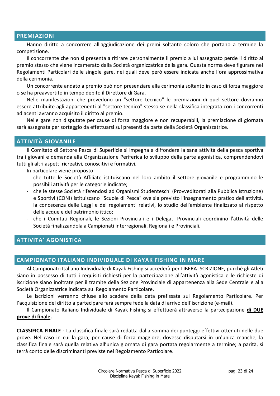#### <span id="page-22-0"></span>**PREMIAZIONI**

Hanno diritto a concorrere all'aggiudicazione dei premi soltanto coloro che portano a termine la competizione.

Il concorrente che non si presenta a ritirare personalmente il premio a lui assegnato perde il diritto al premio stesso che viene incamerato dalla Società organizzatrice della gara. Questa norma deve figurare nei Regolamenti Particolari delle singole gare, nei quali deve però essere indicata anche l'ora approssimativa della cerimonia.

Un concorrente andato a premio può non presenziare alla cerimonia soltanto in caso di forza maggiore o se ha preavvertito in tempo debito il Direttore di Gara.

Nelle manifestazioni che prevedono un "settore tecnico" le premiazioni di quel settore dovranno essere attribuite agli appartenenti al "settore tecnico" stesso se nella classifica integrata con i concorrenti adiacenti avranno acquisito il diritto al premio.

Nelle gare non disputate per cause di forza maggiore e non recuperabili, la premiazione di giornata sarà assegnata per sorteggio da effettuarsi sui presenti da parte della Società Organizzatrice.

# <span id="page-22-1"></span>**ATTIVITÀ GIOVANILE**

Il Comitato di Settore Pesca di Superficie si impegna a diffondere la sana attività della pesca sportiva tra i giovani e demanda alla Organizzazione Periferica lo sviluppo della parte agonistica, comprendendovi tutti gli altri aspetti ricreativi, conoscitivi e formativi.

In particolare viene proposto:

- che tutte le Società Affiliate istituiscano nel loro ambito il settore giovanile e programmino le possibili attività per le categorie indicate;
- che le stesse Società riferendosi ad Organismi Studenteschi (Provveditorati alla Pubblica Istruzione) e Sportivi (CONI) istituiscano "Scuole di Pesca" ove sia previsto l'insegnamento pratico dell'attività, la conoscenza delle Leggi e dei regolamenti relativi, lo studio dell'ambiente finalizzato al rispetto delle acque e del patrimonio ittico;
- che i Comitati Regionali, le Sezioni Provinciali e i Delegati Provinciali coordinino l'attività delle Società finalizzandola a Campionati Interregionali, Regionali e Provinciali.

#### <span id="page-22-2"></span>**ATTIVITA' AGONISTICA**

# <span id="page-22-3"></span>**CAMPIONATO ITALIANO INDIVIDUALE DI KAYAK FISHING IN MARE**

Al Campionato Italiano Individuale di Kayak Fishing si accederà per LIBERA ISCRIZIONE, purché gli Atleti siano in possesso di tutti i requisiti richiesti per la partecipazione all'attività agonistica e le richieste di iscrizione siano inoltrate per il tramite della Sezione Provinciale di appartenenza alla Sede Centrale e alla Società Organizzatrice indicata sul Regolamento Particolare.

Le iscrizioni verranno chiuse allo scadere della data prefissata sul Regolamento Particolare. Per l'acquisizione del diritto a partecipare farà sempre fede la data di arrivo dell'iscrizione (e-mail).

Il Campionato Italiano Individuale di Kayak Fishing si effettuerà attraverso la partecipazione **di DUE prove di finale.**

**CLASSIFICA FINALE -** La classifica finale sarà redatta dalla somma dei punteggi effettivi ottenuti nelle due prove. Nel caso in cui la gara, per cause di forza maggiore, dovesse disputarsi in un'unica manche, la classifica finale sarà quella relativa all'unica giornata di gara portata regolarmente a termine; a parità, si terrà conto delle discriminanti previste nel Regolamento Particolare.